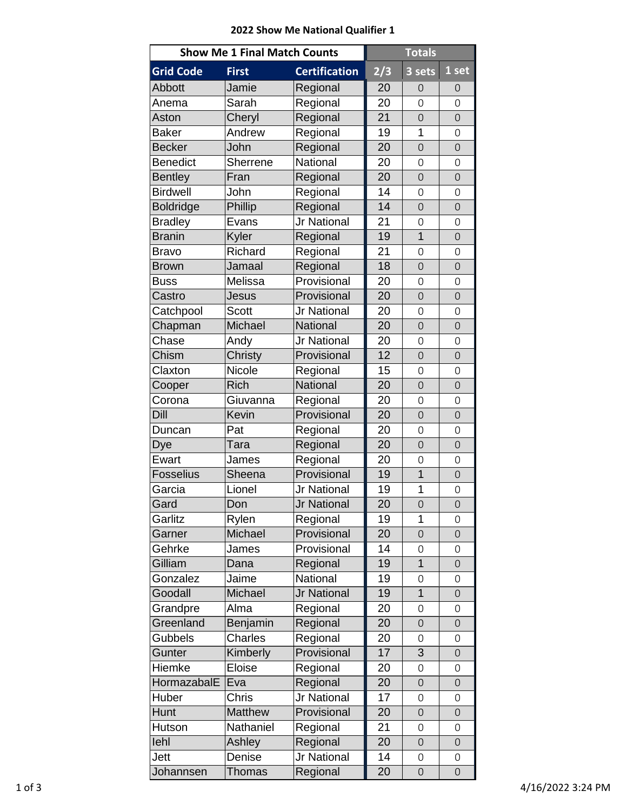## **2022 Show Me National Qualifier 1**

| <b>Show Me 1 Final Match Counts</b> |                |                      | <b>Totals</b> |                     |                     |
|-------------------------------------|----------------|----------------------|---------------|---------------------|---------------------|
| <b>Grid Code</b>                    | <b>First</b>   | <b>Certification</b> | 2/3           | 3 sets              | 1 set               |
| <b>Abbott</b>                       | Jamie          | Regional             | 20            | $\mathbf 0$         | 0                   |
| Anema                               | Sarah          | Regional             | 20            | $\mathbf 0$         | 0                   |
| Aston                               | Cheryl         | Regional             | 21            | $\overline{0}$      | $\overline{O}$      |
| <b>Baker</b>                        | Andrew         | Regional             | 19            | 1                   | $\mathsf{O}\xspace$ |
| <b>Becker</b>                       | John           | Regional             | 20            | $\overline{0}$      | $\overline{O}$      |
| <b>Benedict</b>                     | Sherrene       | <b>National</b>      | 20            | $\overline{0}$      | $\mathbf 0$         |
| <b>Bentley</b>                      | Fran           | Regional             | 20            | $\mathbf 0$         | $\mathbf 0$         |
| <b>Birdwell</b>                     | John           | Regional             | 14            | $\mathbf 0$         | 0                   |
| <b>Boldridge</b>                    | Phillip        | Regional             | 14            | $\overline{O}$      | $\overline{O}$      |
| <b>Bradley</b>                      | Evans          | Jr National          | 21            | $\mathsf{O}$        | 0                   |
| <b>Branin</b>                       | Kyler          | Regional             | 19            | $\overline{1}$      | $\overline{O}$      |
| <b>Bravo</b>                        | Richard        | Regional             | 21            | $\overline{0}$      | 0                   |
| <b>Brown</b>                        | Jamaal         | Regional             | 18            | $\mathsf{O}$        | $\overline{O}$      |
| <b>Buss</b>                         | Melissa        | Provisional          | 20            | $\mathbf 0$         | 0                   |
| Castro                              | Jesus          | Provisional          | 20            | $\mathbf 0$         | $\mathbf 0$         |
| Catchpool                           | <b>Scott</b>   | Jr National          | 20            | $\mathbf 0$         | $\mathbf 0$         |
| Chapman                             | Michael        | <b>National</b>      | 20            | $\overline{O}$      | $\overline{O}$      |
| Chase                               | Andy           | Jr National          | 20            | $\overline{0}$      | 0                   |
| Chism                               | Christy        | Provisional          | 12            | $\overline{O}$      | $\mathbf 0$         |
| Claxton                             | Nicole         | Regional             | 15            | $\mathsf{O}\xspace$ | 0                   |
| Cooper                              | <b>Rich</b>    | <b>National</b>      | 20            | $\overline{O}$      | $\overline{O}$      |
| Corona                              | Giuvanna       | Regional             | 20            | 0                   | 0                   |
| Dill                                | Kevin          | Provisional          | 20            | $\overline{0}$      | $\mathbf 0$         |
| Duncan                              | Pat            | Regional             | 20            | $\mathsf{O}\xspace$ | 0                   |
| Dye                                 | Tara           | Regional             | 20            | $\overline{O}$      | $\overline{O}$      |
| Ewart                               | James          | Regional             | 20            | $\mathsf{O}\xspace$ | 0                   |
| Fosselius                           | Sheena         | Provisional          | 19            | $\overline{1}$      | $\overline{0}$      |
| Garcia                              | Lionel         | Jr National          | 19            | 1                   | 0                   |
| Gard                                | Don            | Jr National          | 20            | $\overline{O}$      | $\mathbf 0$         |
| Garlitz                             | Rylen          | Regional             | 19            | 1                   | 0                   |
| Garner                              | Michael        | Provisional          | 20            | $\overline{O}$      | $\mathbf 0$         |
| Gehrke                              | James          | Provisional          | 14            | $\mathsf{O}$        | 0                   |
| Gilliam                             | Dana           | Regional             | 19            | $\overline{1}$      | $\overline{O}$      |
| Gonzalez                            | Jaime          | National             | 19            | $\mathsf{O}\xspace$ | $\mathsf{O}\xspace$ |
| Goodall                             | Michael        | Jr National          | 19            | $\overline{1}$      | $\overline{O}$      |
| Grandpre                            | Alma           | Regional             | 20            | 0                   | 0                   |
| Greenland                           | Benjamin       | Regional             | 20            | $\overline{O}$      | $\overline{O}$      |
| Gubbels                             | Charles        | Regional             | 20            | 0                   | 0                   |
| Gunter                              | Kimberly       | Provisional          | 17            | 3                   | $\mathsf{O}\xspace$ |
| Hiemke                              | Eloise         | Regional             | 20            | $\mathbf 0$         | 0                   |
| HormazabalE                         | Eva            | Regional             | 20            | $\overline{O}$      | $\mathsf{O}\xspace$ |
| Huber                               | Chris          | Jr National          | 17            | $\overline{0}$      | 0                   |
| Hunt                                | <b>Matthew</b> | Provisional          | 20            | $\overline{O}$      | $\mathbf 0$         |
| Hutson                              | Nathaniel      | Regional             | 21            | 0                   | 0                   |
| lehl                                | Ashley         | Regional             | 20            | $\mathsf{O}$        | $\mathsf{O}\xspace$ |
| Jett                                | Denise         | Jr National          | 14            | $\mathsf{O}\xspace$ | 0                   |
| Johannsen                           | <b>Thomas</b>  | Regional             | 20            | $\overline{O}$      | $\mathbf 0$         |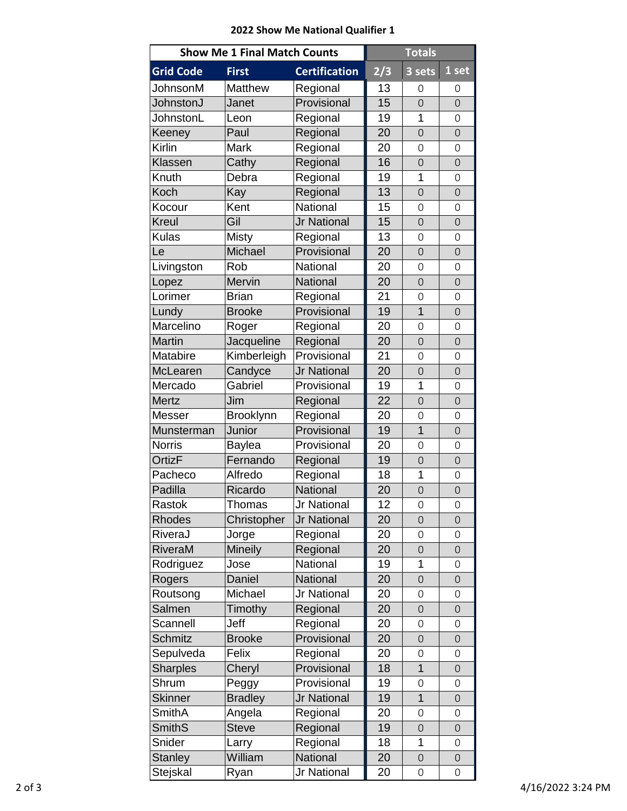## **2022 Show Me National Qualifier 1**

| <b>Show Me 1 Final Match Counts</b> |                |                      | <b>Totals</b> |                     |                     |
|-------------------------------------|----------------|----------------------|---------------|---------------------|---------------------|
| <b>Grid Code</b>                    | <b>First</b>   | <b>Certification</b> | 2/3           | 3 sets              | 1 set               |
| JohnsonM                            | Matthew        | Regional             | 13            | $\mathbf 0$         | 0                   |
| JohnstonJ                           | Janet          | Provisional          | 15            | $\overline{O}$      | $\overline{O}$      |
| JohnstonL                           | Leon           | Regional             | 19            | 1                   | 0                   |
| Keeney                              | Paul           | Regional             | 20            | $\overline{O}$      | $\overline{O}$      |
| Kirlin                              | Mark           | Regional             | 20            | $\mathbf 0$         | 0                   |
| Klassen                             | Cathy          | Regional             | 16            | $\overline{O}$      | $\overline{O}$      |
| Knuth                               | Debra          | Regional             | 19            | 1                   | 0                   |
| Koch                                | Kay            | Regional             | 13            | $\mathbf 0$         | $\mathbf 0$         |
| Kocour                              | Kent           | National             | 15            | $\mathbf 0$         | 0                   |
| Kreul                               | Gil            | Jr National          | 15            | $\overline{O}$      | $\overline{O}$      |
| <b>Kulas</b>                        | <b>Misty</b>   | Regional             | 13            | $\overline{O}$      | $\mathbf 0$         |
| Le                                  | Michael        | Provisional          | 20            | $\overline{O}$      | $\overline{O}$      |
| Livingston                          | Rob            | National             | 20            | $\overline{O}$      | 0                   |
| Lopez                               | Mervin         | <b>National</b>      | 20            | $\mathbf 0$         | $\mathsf{O}\xspace$ |
| Lorimer                             | <b>Brian</b>   | Regional             | 21            | $\mathbf 0$         | $\mathsf{O}\xspace$ |
| Lundy                               | <b>Brooke</b>  | Provisional          | 19            | $\overline{1}$      | $\overline{O}$      |
| Marcelino                           | Roger          | Regional             | 20            | 0                   | 0                   |
| Martin                              | Jacqueline     | Regional             | 20            | $\overline{O}$      | $\overline{O}$      |
| Matabire                            | Kimberleigh    | Provisional          | 21            | $\mathsf{O}\xspace$ | 0                   |
| McLearen                            | Candyce        | Jr National          | 20            | $\overline{O}$      | $\overline{O}$      |
| Mercado                             | Gabriel        | Provisional          | 19            | 1                   | 0                   |
| <b>Mertz</b>                        | Jim            | Regional             | 22            | $\overline{O}$      | $\overline{O}$      |
| Messer                              | Brooklynn      | Regional             | 20            | $\mathbf 0$         | $\mathbf 0$         |
| Munsterman                          | Junior         | Provisional          | 19            | $\overline{1}$      | $\mathbf 0$         |
| <b>Norris</b>                       | Baylea         | Provisional          | 20            | $\overline{O}$      | $\overline{O}$      |
| <b>OrtizF</b>                       | Fernando       | Regional             | 19            | $\mathbf 0$         | $\mathbf 0$         |
| Pacheco                             | Alfredo        | Regional             | 18            | 1                   | $\mathsf{O}\xspace$ |
| Padilla                             | Ricardo        | <b>National</b>      | 20            | $\overline{O}$      | $\overline{O}$      |
| Rastok                              | Thomas         | Jr National          | 12            | 0                   | $\mathsf{O}\xspace$ |
| Rhodes                              | Christopher    | <b>Jr National</b>   | 20            | $\overline{O}$      | $\overline{O}$      |
| RiveraJ                             | Jorge          | Regional             | 20            | 0                   | 0                   |
| RiveraM                             | Mineily        | Regional             | 20            | $\overline{O}$      | $\overline{O}$      |
| Rodriguez                           | Jose           | National             | 19            | 1                   | 0                   |
| Rogers                              | Daniel         | <b>National</b>      | 20            | $\mathsf{O}$        | $\mathsf{O}\xspace$ |
| Routsong                            | Michael        | Jr National          | 20            | $\mathbf 0$         | 0                   |
| Salmen                              | Timothy        | Regional             | 20            | $\mathsf{O}$        | $\mathsf{O}\xspace$ |
| Scannell                            | Jeff           | Regional             | 20            | $\overline{0}$      | $\mathbf 0$         |
| <b>Schmitz</b>                      | <b>Brooke</b>  | Provisional          | 20            | $\overline{O}$      | $\mathsf{O}$        |
| Sepulveda                           | Felix          | Regional             | 20            | 0                   | $\mathsf{O}\xspace$ |
| <b>Sharples</b>                     | Cheryl         | Provisional          | 18            | $\overline{1}$      | $\mathbf 0$         |
| Shrum                               | Peggy          | Provisional          | 19            | $\mathbf 0$         | 0                   |
| <b>Skinner</b>                      | <b>Bradley</b> | Jr National          | 19            | $\overline{1}$      | $\overline{O}$      |
| <b>SmithA</b>                       | Angela         | Regional             | 20            | 0                   | 0                   |
| <b>SmithS</b>                       | <b>Steve</b>   | Regional             | 19            | $\overline{O}$      | $\overline{O}$      |
| Snider                              | Larry          | Regional             | 18            | 1                   | 0                   |
| <b>Stanley</b>                      | William        | National             | 20            | $\mathsf{O}$        | $\mathsf{O}\xspace$ |
| Stejskal                            | Ryan           | Jr National          | 20            | $\mathsf{O}\xspace$ | 0                   |